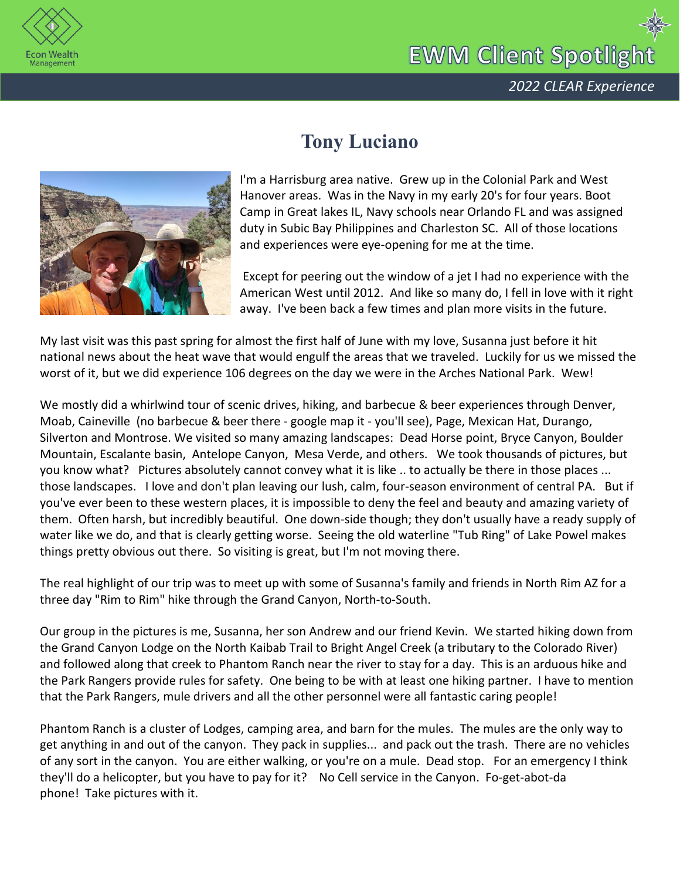

## **EWM Client Spotlight**



## **Tony Luciano**

I'm a Harrisburg area native. Grew up in the Colonial Park and West Hanover areas. Was in the Navy in my early 20's for four years. Boot Camp in Great lakes IL, Navy schools near Orlando FL and was assigned duty in Subic Bay Philippines and Charleston SC. All of those locations and experiences were eye-opening for me at the time.

Except for peering out the window of a jet I had no experience with the American West until 2012. And like so many do, I fell in love with it right away. I've been back a few times and plan more visits in the future.

My last visit was this past spring for almost the first half of June with my love, Susanna just before it hit national news about the heat wave that would engulf the areas that we traveled. Luckily for us we missed the worst of it, but we did experience 106 degrees on the day we were in the Arches National Park. Wew!

We mostly did a whirlwind tour of scenic drives, hiking, and barbecue & beer experiences through Denver, Moab, Caineville (no barbecue & beer there - google map it - you'll see), Page, Mexican Hat, Durango, Silverton and Montrose. We visited so many amazing landscapes: Dead Horse point, Bryce Canyon, Boulder Mountain, Escalante basin, Antelope Canyon, Mesa Verde, and others. We took thousands of pictures, but you know what? Pictures absolutely cannot convey what it is like .. to actually be there in those places ... those landscapes. I love and don't plan leaving our lush, calm, four-season environment of central PA. But if you've ever been to these western places, it is impossible to deny the feel and beauty and amazing variety of them. Often harsh, but incredibly beautiful. One down-side though; they don't usually have a ready supply of water like we do, and that is clearly getting worse. Seeing the old waterline "Tub Ring" of Lake Powel makes things pretty obvious out there. So visiting is great, but I'm not moving there.

The real highlight of our trip was to meet up with some of Susanna's family and friends in North Rim AZ for a three day "Rim to Rim" hike through the Grand Canyon, North-to-South.

Our group in the pictures is me, Susanna, her son Andrew and our friend Kevin. We started hiking down from the Grand Canyon Lodge on the North Kaibab Trail to Bright Angel Creek (a tributary to the Colorado River) and followed along that creek to Phantom Ranch near the river to stay for a day. This is an arduous hike and the Park Rangers provide rules for safety. One being to be with at least one hiking partner. I have to mention that the Park Rangers, mule drivers and all the other personnel were all fantastic caring people!

Phantom Ranch is a cluster of Lodges, camping area, and barn for the mules. The mules are the only way to get anything in and out of the canyon. They pack in supplies... and pack out the trash. There are no vehicles of any sort in the canyon. You are either walking, or you're on a mule. Dead stop. For an emergency I think they'll do a helicopter, but you have to pay for it? No Cell service in the Canyon. Fo-get-abot-da phone! Take pictures with it.